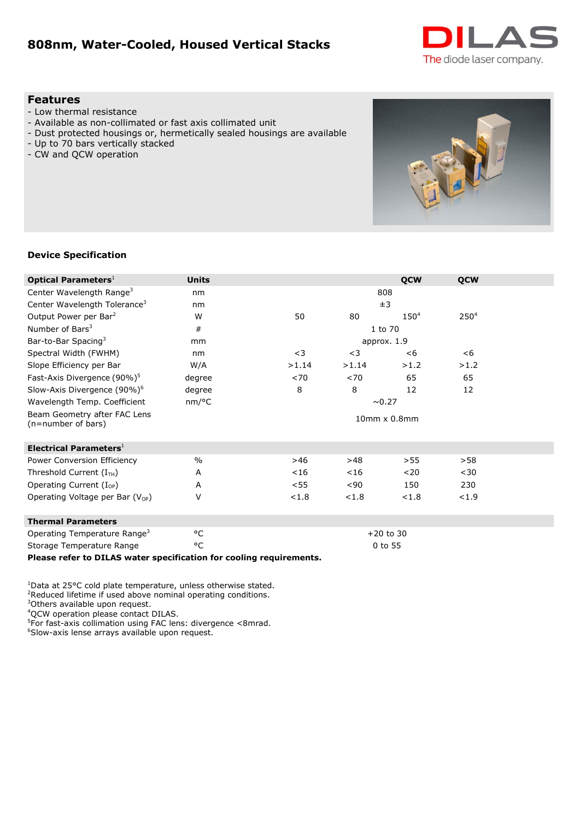# **808nm, Water-Cooled, Housed Vertical Stacks**



#### **Features**

- Low thermal resistance
- Available as non-collimated or fast axis collimated unit
- Dust protected housings or, hermetically sealed housings are available
- Up to 70 bars vertically stacked
- CW and QCW operation



#### **Device Specification**

| <b>Optical Parameters</b> <sup>1</sup>                              | <b>Units</b>       |                        |             | <b>QCW</b> | <b>QCW</b>       |  |  |
|---------------------------------------------------------------------|--------------------|------------------------|-------------|------------|------------------|--|--|
| Center Wavelength Range <sup>3</sup>                                | nm                 |                        | 808         |            |                  |  |  |
| Center Wavelength Tolerance <sup>3</sup>                            | nm                 |                        | ±3          |            |                  |  |  |
| Output Power per Bar <sup>2</sup>                                   | W                  | 50                     | 80          | $150^{4}$  | 250 <sup>4</sup> |  |  |
| Number of Bars <sup>3</sup>                                         | #                  |                        | 1 to 70     |            |                  |  |  |
| Bar-to-Bar Spacing <sup>3</sup>                                     | mm                 |                        | approx. 1.9 |            |                  |  |  |
| Spectral Width (FWHM)                                               | nm                 | $<$ 3                  | $<$ 3       | < 6        | < 6              |  |  |
| Slope Efficiency per Bar                                            | W/A                | >1.14                  | >1.14       | >1.2       | >1.2             |  |  |
| Fast-Axis Divergence (90%) <sup>5</sup>                             | degree             | < 70                   | < 70        | 65         | 65               |  |  |
| Slow-Axis Divergence (90%) <sup>6</sup>                             | degree             | 8                      | 8           | 12         | 12               |  |  |
| Wavelength Temp. Coefficient                                        | nm/°C              |                        | ~0.27       |            |                  |  |  |
| Beam Geometry after FAC Lens<br>(n=number of bars)                  |                    | $10$ mm $\times$ 0.8mm |             |            |                  |  |  |
| <b>Electrical Parameters</b> <sup>1</sup>                           |                    |                        |             |            |                  |  |  |
| Power Conversion Efficiency                                         | $\frac{0}{0}$      | >46                    | >48         | >55        | >58              |  |  |
| Threshold Current $(ITH)$                                           | A                  | $<$ 16                 | $<$ 16      | $20$       | $30$             |  |  |
| Operating Current $(I_{OP})$                                        | A                  | $<$ 55                 | < 90        | 150        | 230              |  |  |
| Operating Voltage per Bar $(V_{OP})$                                | V                  | < 1.8                  | < 1.8       | < 1.8      | < 1.9            |  |  |
| <b>Thermal Parameters</b>                                           |                    |                        |             |            |                  |  |  |
| Operating Temperature Range <sup>3</sup>                            | °C                 |                        | $+20$ to 30 |            |                  |  |  |
| Storage Temperature Range                                           | $\circ \mathsf{C}$ |                        | 0 to 55     |            |                  |  |  |
| Please refer to DILAS water specification for cooling requirements. |                    |                        |             |            |                  |  |  |

 $1$ Data at 25°C cold plate temperature, unless otherwise stated.

<sup>2</sup>Reduced lifetime if used above nominal operating conditions.

<sup>3</sup>Others available upon request.

<sup>4</sup>QCW operation please contact DILAS.

5 For fast-axis collimation using FAC lens: divergence <8mrad.

<sup>6</sup>Slow-axis lense arrays available upon request.